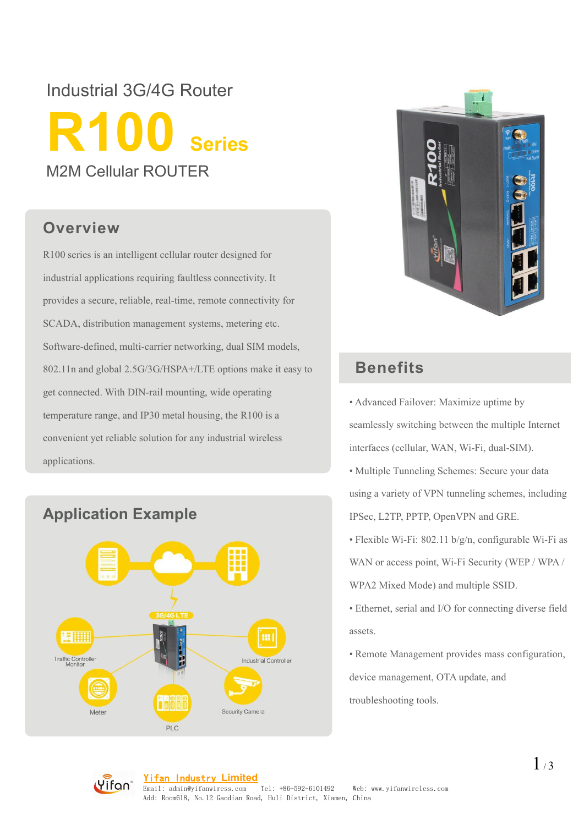# Industrial 3G/4G Router **R100 Series** M2M Cellular ROUTER

#### **Overview**

R100 series is an intelligent cellular router designed for industrial applications requiring faultless connectivity. It provides a secure, reliable, real-time, remote connectivity for SCADA, distribution management systems, metering etc. Software-defined, multi-carrier networking, dual SIM models, 802.11n and global 2.5G/3G/HSPA+/LTE options make it easy to **Benefits** get connected. With DIN-rail mounting, wide operating temperature range, and IP30 metal housing, the R100 is a convenient yet reliable solution for any industrial wireless 802.11n and global 2.5G/3G/HSPA+/LTE options make it easy to<br>get connected. With DIN-rail mounting, wide operating<br>temperature range, and IP30 metal housing, the R100 is a<br>convenient yet reliable solution for any industria





- Advanced Failover: Maximize uptime by seamlessly switching between the multiple Internet interfaces (cellular, WAN, Wi-Fi, dual-SIM).
- Multiple Tunneling Schemes: Secure your data using a variety of VPN tunneling schemes, including IPSec, L2TP, PPTP, OpenVPN and GRE.
- Flexible Wi-Fi: 802.11 b/g/n, configurable Wi-Fi as

WAN or access point, Wi-Fi Security (WEP / WPA /

- WPA2 Mixed Mode) and multiple SSID.
- Ethernet, serial and I/O for connecting diverse field assets.
- Remote Management provides mass configuration,

device management, OTA update, and

troubleshooting tools.

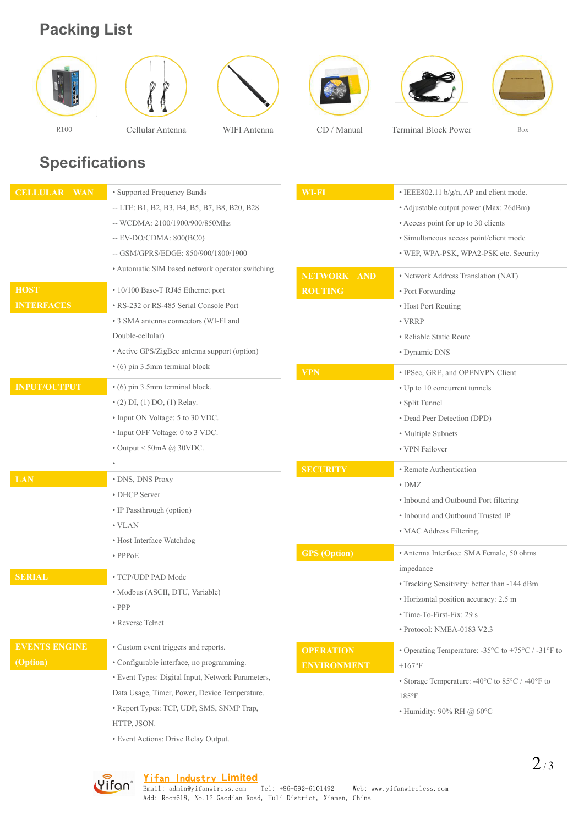### **Packing List**













## **Specifications**

| <b>CELLULAR WAN</b>  | • Supported Frequency Bands                       | WI-FI                        | • IEEE802.11 b/g/n, AP and client mode.                                          |
|----------------------|---------------------------------------------------|------------------------------|----------------------------------------------------------------------------------|
|                      | -- LTE: B1, B2, B3, B4, B5, B7, B8, B20, B28      |                              | • Adjustable output power (Max: 26dBm)                                           |
|                      | -- WCDMA: 2100/1900/900/850Mhz                    |                              | • Access point for up to 30 clients                                              |
|                      | -- EV-DO/CDMA: 800(BC0)                           |                              | · Simultaneous access point/client mode                                          |
|                      | -- GSM/GPRS/EDGE: 850/900/1800/1900               |                              | • WEP, WPA-PSK, WPA2-PSK etc. Security                                           |
|                      | • Automatic SIM based network operator switching  | <b>NETWORK</b><br><b>AND</b> |                                                                                  |
| <b>HOST</b>          | • 10/100 Base-T RJ45 Ethernet port                | <b>ROUTING</b>               | • Network Address Translation (NAT)<br>• Port Forwarding                         |
| <b>INTERFACES</b>    | • RS-232 or RS-485 Serial Console Port            |                              | • Host Port Routing                                                              |
|                      | • 3 SMA antenna connectors (WI-FI and             |                              | $\bullet$ VRRP                                                                   |
|                      | Double-cellular)                                  |                              | · Reliable Static Route                                                          |
|                      | • Active GPS/ZigBee antenna support (option)      |                              | • Dynamic DNS                                                                    |
|                      | $\cdot$ (6) pin 3.5mm terminal block              |                              |                                                                                  |
|                      |                                                   | <b>VPN</b>                   | · IPSec, GRE, and OPENVPN Client                                                 |
| <b>INPUT/OUTPUT</b>  | • (6) pin 3.5mm terminal block.                   |                              | • Up to 10 concurrent tunnels                                                    |
|                      | $\bullet$ (2) DI, (1) DO, (1) Relay.              |                              | • Split Tunnel                                                                   |
|                      | • Input ON Voltage: 5 to 30 VDC.                  |                              | • Dead Peer Detection (DPD)                                                      |
|                      | • Input OFF Voltage: 0 to 3 VDC.                  |                              | • Multiple Subnets                                                               |
|                      | $\bullet$ Output < 50mA @ 30VDC.                  |                              | • VPN Failover                                                                   |
|                      |                                                   | <b>SECURITY</b>              | • Remote Authentication                                                          |
| <b>LAN</b>           | • DNS, DNS Proxy                                  |                              | $\bullet$ DMZ                                                                    |
|                      | • DHCP Server                                     |                              | • Inbound and Outbound Port filtering                                            |
|                      | • IP Passthrough (option)                         |                              | • Inbound and Outbound Trusted IP                                                |
|                      | $\bullet$ VLAN                                    |                              | • MAC Address Filtering.                                                         |
|                      | • Host Interface Watchdog                         |                              |                                                                                  |
|                      | $\bullet$ PPP <sub>O</sub> E                      | <b>GPS</b> (Option)          | • Antenna Interface: SMA Female, 50 ohms                                         |
| <b>SERIAL</b>        | • TCP/UDP PAD Mode                                |                              | impedance                                                                        |
|                      | · Modbus (ASCII, DTU, Variable)                   |                              | • Tracking Sensitivity: better than -144 dBm                                     |
|                      | $\bullet$ PPP                                     |                              | • Horizontal position accuracy: 2.5 m                                            |
|                      | • Reverse Telnet                                  |                              | • Time-To-First-Fix: 29 s                                                        |
|                      |                                                   |                              | · Protocol: NMEA-0183 V2.3                                                       |
| <b>EVENTS ENGINE</b> | • Custom event triggers and reports.              | <b>OPERATION</b>             | • Operating Temperature: $-35^{\circ}$ C to $+75^{\circ}$ C / $-31^{\circ}$ F to |
| (Option)             | • Configurable interface, no programming.         | <b>ENVIRONMENT</b>           | $+167$ °F                                                                        |
|                      | · Event Types: Digital Input, Network Parameters, |                              | • Storage Temperature: -40°C to 85°C / -40°F to                                  |
|                      | Data Usage, Timer, Power, Device Temperature.     |                              | $185^{\circ}F$                                                                   |
|                      | • Report Types: TCP, UDP, SMS, SNMP Trap,         |                              | • Humidity: $90\%$ RH $@$ 60°C                                                   |
|                      | HTTP, JSON.                                       |                              |                                                                                  |
|                      | • Event Actions: Drive Relay Output.              |                              |                                                                                  |